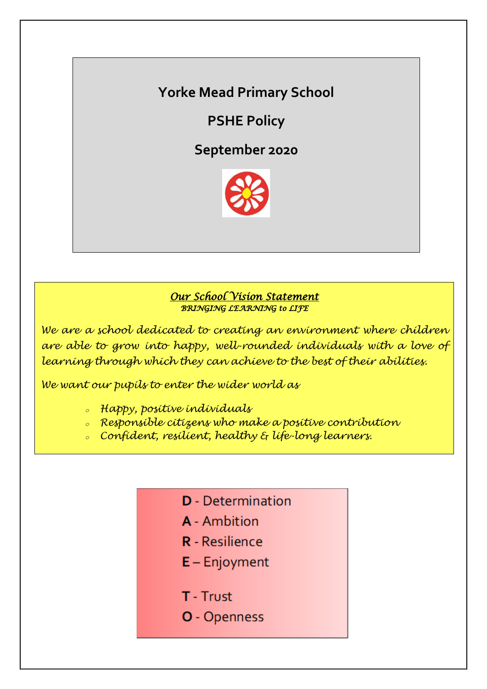# **Yorke Mead Primary School**

**PSHE Policy**

**September 2020**



## *Our School Vision Statement BRINGING LEARNING to LIFE*

*We are a school dedicated to creating an environment where children are able to grow into happy, well-rounded individuals with a love of learning through which they can achieve to the best of their abilities.*

*We want our pupils to enter the wider world as*

- *<sup>o</sup> Happy, positive individuals*
- *<sup>o</sup> Responsible citizens who make a positive contribution*
- *<sup>o</sup> Confident, resilient, healthy & life-long learners.*
	- **D** Determination
	- **A** Ambition
	- **R** Resilience
	- $E -$  Enjoyment
	- T Trust
	- O Openness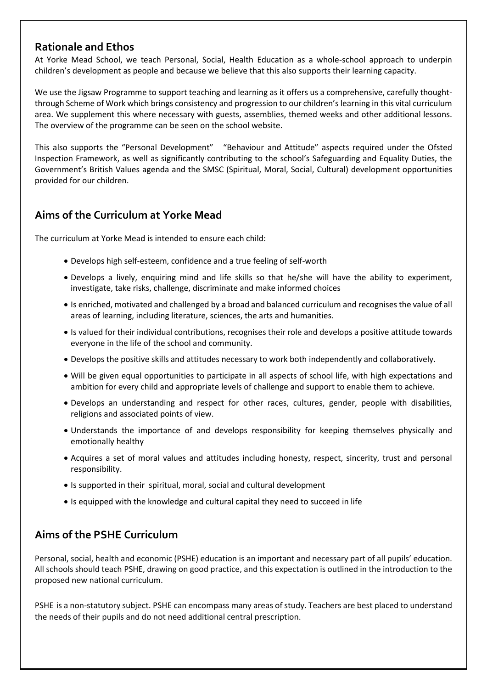## **Rationale and Ethos**

At Yorke Mead School, we teach Personal, Social, Health Education as a whole-school approach to underpin children's development as people and because we believe that this also supports their learning capacity.

We use the Jigsaw Programme to support teaching and learning as it offers us a comprehensive, carefully thoughtthrough Scheme of Work which brings consistency and progression to our children's learning in this vital curriculum area. We supplement this where necessary with guests, assemblies, themed weeks and other additional lessons. The overview of the programme can be seen on the school website.

This also supports the "Personal Development" "Behaviour and Attitude" aspects required under the Ofsted Inspection Framework, as well as significantly contributing to the school's Safeguarding and Equality Duties, the Government's British Values agenda and the SMSC (Spiritual, Moral, Social, Cultural) development opportunities provided for our children.

## **Aims of the Curriculum at Yorke Mead**

The curriculum at Yorke Mead is intended to ensure each child:

- Develops high self-esteem, confidence and a true feeling of self-worth
- Develops a lively, enquiring mind and life skills so that he/she will have the ability to experiment, investigate, take risks, challenge, discriminate and make informed choices
- Is enriched, motivated and challenged by a broad and balanced curriculum and recognises the value of all areas of learning, including literature, sciences, the arts and humanities.
- Is valued for their individual contributions, recognises their role and develops a positive attitude towards everyone in the life of the school and community.
- Develops the positive skills and attitudes necessary to work both independently and collaboratively.
- Will be given equal opportunities to participate in all aspects of school life, with high expectations and ambition for every child and appropriate levels of challenge and support to enable them to achieve.
- Develops an understanding and respect for other races, cultures, gender, people with disabilities, religions and associated points of view.
- Understands the importance of and develops responsibility for keeping themselves physically and emotionally healthy
- Acquires a set of moral values and attitudes including honesty, respect, sincerity, trust and personal responsibility.
- Is supported in their spiritual, moral, social and cultural development
- Is equipped with the knowledge and cultural capital they need to succeed in life

## **Aims of the PSHE Curriculum**

Personal, social, health and economic (PSHE) education is an important and necessary part of all pupils' education. All schools should teach PSHE, drawing on good practice, and this expectation is outlined in the introduction to the proposed new national curriculum.

PSHE is a non-statutory subject. PSHE can encompass many areas of study. Teachers are best placed to understand the needs of their pupils and do not need additional central prescription.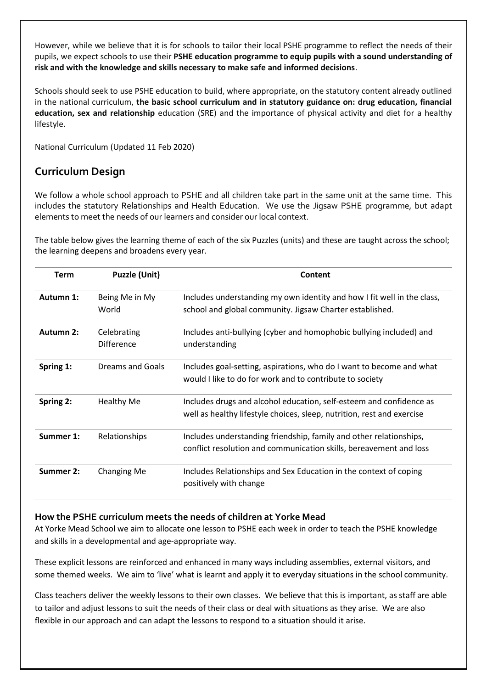However, while we believe that it is for schools to tailor their local PSHE programme to reflect the needs of their pupils, we expect schools to use their **PSHE education programme to equip pupils with a sound understanding of risk and with the knowledge and skills necessary to make safe and informed decisions**.

Schools should seek to use PSHE education to build, where appropriate, on the statutory content already outlined in the national curriculum, **the basic school curriculum and in statutory guidance on: drug education, financial education, sex and relationship** education (SRE) and the importance of physical activity and diet for a healthy lifestyle.

National Curriculum (Updated 11 Feb 2020)

## **Curriculum Design**

We follow a whole school approach to PSHE and all children take part in the same unit at the same time. This includes the statutory Relationships and Health Education. We use the Jigsaw PSHE programme, but adapt elements to meet the needs of our learners and consider our local context.

The table below gives the learning theme of each of the six Puzzles (units) and these are taught across the school; the learning deepens and broadens every year.

| Term             | <b>Puzzle (Unit)</b><br>Being Me in My<br>World                                                                                                           | Content                                                                                                                                       |  |  |
|------------------|-----------------------------------------------------------------------------------------------------------------------------------------------------------|-----------------------------------------------------------------------------------------------------------------------------------------------|--|--|
| Autumn 1:        |                                                                                                                                                           | Includes understanding my own identity and how I fit well in the class,<br>school and global community. Jigsaw Charter established.           |  |  |
| <b>Autumn 2:</b> | Celebrating<br><b>Difference</b>                                                                                                                          | Includes anti-bullying (cyber and homophobic bullying included) and<br>understanding                                                          |  |  |
| Spring 1:        | <b>Dreams and Goals</b>                                                                                                                                   | Includes goal-setting, aspirations, who do I want to become and what<br>would I like to do for work and to contribute to society              |  |  |
| Spring 2:        | <b>Healthy Me</b>                                                                                                                                         | Includes drugs and alcohol education, self-esteem and confidence as<br>well as healthy lifestyle choices, sleep, nutrition, rest and exercise |  |  |
| Summer 1:        | Relationships<br>Includes understanding friendship, family and other relationships,<br>conflict resolution and communication skills, bereavement and loss |                                                                                                                                               |  |  |
| Summer 2:        | <b>Changing Me</b>                                                                                                                                        | Includes Relationships and Sex Education in the context of coping<br>positively with change                                                   |  |  |

#### **How the PSHE curriculum meets the needs of children at Yorke Mead**

At Yorke Mead School we aim to allocate one lesson to PSHE each week in order to teach the PSHE knowledge and skills in a developmental and age-appropriate way.

These explicit lessons are reinforced and enhanced in many ways including assemblies, external visitors, and some themed weeks. We aim to 'live' what is learnt and apply it to everyday situations in the school community.

Class teachers deliver the weekly lessons to their own classes. We believe that this is important, as staff are able to tailor and adjust lessons to suit the needs of their class or deal with situations as they arise. We are also flexible in our approach and can adapt the lessons to respond to a situation should it arise.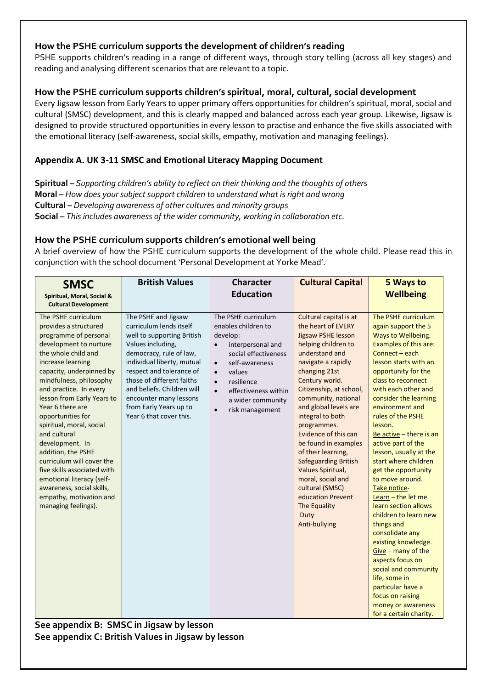### **How the PSHE curriculum supports the development of children's reading**

PSHE supports children's reading in a range of different ways, through story telling (across all key stages) and reading and analysing different scenarios that are relevant to a topic.

### **How the PSHE curriculum supports children's spiritual, moral, cultural, social development**

Every Jigsaw lesson from Early Years to upper primary offers opportunities for children's spiritual, moral, social and cultural (SMSC) development, and this is clearly mapped and balanced across each year group. Likewise, Jigsaw is designed to provide structured opportunities in every lesson to practise and enhance the five skills associated with the emotional literacy (self-awareness, social skills, empathy, motivation and managing feelings).

### **Appendix A. UK 3-11 SMSC and Emotional Literacy Mapping Document**

**Spiritual –** *Supporting children's ability to reflect on their thinking and the thoughts of others*  **Moral –** *How does your subject support children to understand what is right and wrong* **Cultural –** *Developing awareness of other cultures and minority groups*  **Social –** *This includes awareness of the wider community, working in collaboration etc.* 

### **How the PSHE curriculum supports children's emotional well being**

A brief overview of how the PSHE curriculum supports the development of the whole child. Please read this in conjunction with the school document 'Personal Development at Yorke Mead'.

| <b>SMSC</b><br>Spiritual, Moral, Social &<br><b>Cultural Development</b>                                                                                                                                                                                                                                                                                                                                                                                                                                                                                         | <b>British Values</b>                                                                                                                                                                                                                                                                                                            | <b>Character</b><br><b>Education</b>                                                                                                                                                                                                                                                        | <b>Cultural Capital</b>                                                                                                                                                                                                                                                                                                                                                                                                                                                                                                   | 5 Ways to<br><b>Wellbeing</b>                                                                                                                                                                                                                                                                                                                                                                                                                                                                                                                                                                                                                                                                                                                                      |
|------------------------------------------------------------------------------------------------------------------------------------------------------------------------------------------------------------------------------------------------------------------------------------------------------------------------------------------------------------------------------------------------------------------------------------------------------------------------------------------------------------------------------------------------------------------|----------------------------------------------------------------------------------------------------------------------------------------------------------------------------------------------------------------------------------------------------------------------------------------------------------------------------------|---------------------------------------------------------------------------------------------------------------------------------------------------------------------------------------------------------------------------------------------------------------------------------------------|---------------------------------------------------------------------------------------------------------------------------------------------------------------------------------------------------------------------------------------------------------------------------------------------------------------------------------------------------------------------------------------------------------------------------------------------------------------------------------------------------------------------------|--------------------------------------------------------------------------------------------------------------------------------------------------------------------------------------------------------------------------------------------------------------------------------------------------------------------------------------------------------------------------------------------------------------------------------------------------------------------------------------------------------------------------------------------------------------------------------------------------------------------------------------------------------------------------------------------------------------------------------------------------------------------|
| The PSHE curriculum<br>provides a structured<br>programme of personal<br>development to nurture<br>the whole child and<br>increase learning<br>capacity, underpinned by<br>mindfulness, philosophy<br>and practice. In every<br>lesson from Early Years to<br>Year 6 there are<br>opportunities for<br>spiritual, moral, social<br>and cultural<br>development. In<br>addition, the PSHE<br>curriculum will cover the<br>five skills associated with<br>emotional literacy (self-<br>awareness, social skills,<br>empathy, motivation and<br>managing feelings). | The PSHE and Jigsaw<br>curriculum lends itself<br>well to supporting British<br>Values including,<br>democracy, rule of law,<br>individual liberty, mutual<br>respect and tolerance of<br>those of different faiths<br>and beliefs. Children will<br>encounter many lessons<br>from Early Years up to<br>Year 6 that cover this. | The PSHE curriculum<br>enables children to<br>develop:<br>interpersonal and<br>$\bullet$<br>social effectiveness<br>self-awareness<br>$\bullet$<br>values<br>$\bullet$<br>resilience<br>$\bullet$<br>effectiveness within<br>$\bullet$<br>a wider community<br>risk management<br>$\bullet$ | Cultural capital is at<br>the heart of EVERY<br>Jigsaw PSHE lesson<br>helping children to<br>understand and<br>navigate a rapidly<br>changing 21st<br>Century world.<br>Citizenship, at school,<br>community, national<br>and global levels are<br>integral to both<br>programmes.<br>Evidence of this can<br>be found in examples<br>of their learning,<br><b>Safeguarding British</b><br>Values Spiritual,<br>moral, social and<br>cultural (SMSC)<br>education Prevent<br><b>The Equality</b><br>Duty<br>Anti-bullying | The PSHE curriculum<br>again support the 5<br>Ways to Wellbeing.<br>Examples of this are:<br>Connect - each<br>lesson starts with an<br>opportunity for the<br>class to reconnect<br>with each other and<br>consider the learning<br>environment and<br>rules of the PSHE<br>lesson.<br>Be active $-$ there is an<br>active part of the<br>lesson, usually at the<br>start where children<br>get the opportunity<br>to move around.<br>Take notice-<br>Learn $-$ the let me<br>learn section allows<br>children to learn new<br>things and<br>consolidate any<br>existing knowledge.<br>Give $-$ many of the<br>aspects focus on<br>social and community<br>life, some in<br>particular have a<br>focus on raising<br>money or awareness<br>for a certain charity. |

**See appendix B: SMSC in Jigsaw by lesson See appendix C: British Values in Jigsaw by lesson**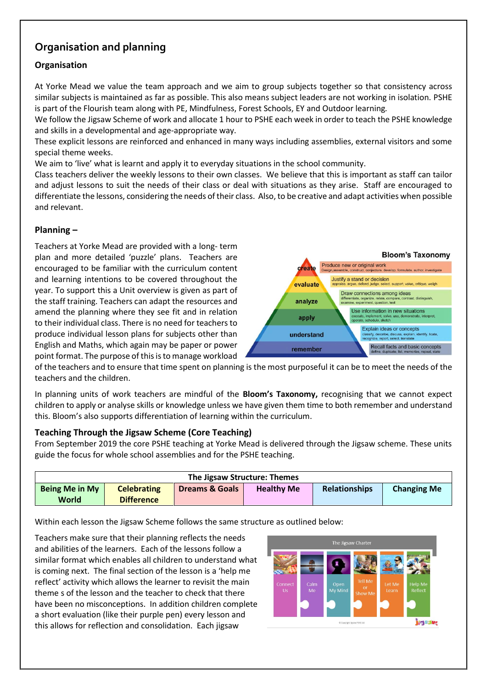## **Organisation and planning**

## **Organisation**

At Yorke Mead we value the team approach and we aim to group subjects together so that consistency across similar subjects is maintained as far as possible. This also means subject leaders are not working in isolation. PSHE is part of the Flourish team along with PE, Mindfulness, Forest Schools, EY and Outdoor learning*.* 

We follow the Jigsaw Scheme of work and allocate 1 hour to PSHE each week in order to teach the PSHE knowledge and skills in a developmental and age-appropriate way.

These explicit lessons are reinforced and enhanced in many ways including assemblies, external visitors and some special theme weeks.

We aim to 'live' what is learnt and apply it to everyday situations in the school community.

Class teachers deliver the weekly lessons to their own classes. We believe that this is important as staff can tailor and adjust lessons to suit the needs of their class or deal with situations as they arise. Staff are encouraged to differentiate the lessons, considering the needs of their class. Also, to be creative and adapt activities when possible and relevant.

#### **Planning –**

Teachers at Yorke Mead are provided with a long- term plan and more detailed 'puzzle' plans. Teachers are encouraged to be familiar with the curriculum content and learning intentions to be covered throughout the year. To support this a Unit overview is given as part of the staff training. Teachers can adapt the resources and amend the planning where they see fit and in relation to their individual class. There is no need for teachers to produce individual lesson plans for subjects other than English and Maths, which again may be paper or power point format. The purpose of this is to manage workload



of the teachers and to ensure that time spent on planning is the most purposeful it can be to meet the needs of the teachers and the children.

In planning units of work teachers are mindful of the **Bloom's Taxonomy,** recognising that we cannot expect children to apply or analyse skills or knowledge unless we have given them time to both remember and understand this. Bloom's also supports differentiation of learning within the curriculum.

#### **Teaching Through the Jigsaw Scheme (Core Teaching)**

From September 2019 the core PSHE teaching at Yorke Mead is delivered through the Jigsaw scheme. These units guide the focus for whole school assemblies and for the PSHE teaching.

| The Jigsaw Structure: Themes   |                                         |                           |                   |                      |                    |  |  |  |  |
|--------------------------------|-----------------------------------------|---------------------------|-------------------|----------------------|--------------------|--|--|--|--|
| <b>Being Me in My</b><br>World | <b>Celebrating</b><br><b>Difference</b> | <b>Dreams &amp; Goals</b> | <b>Healthy Me</b> | <b>Relationships</b> | <b>Changing Me</b> |  |  |  |  |

Within each lesson the Jigsaw Scheme follows the same structure as outlined below:

Teachers make sure that their planning reflects the needs and abilities of the learners. Each of the lessons follow a similar format which enables all children to understand what is coming next. The final section of the lesson is a 'help me reflect' activity which allows the learner to revisit the main theme s of the lesson and the teacher to check that there have been no misconceptions. In addition children complete a short evaluation (like their purple pen) every lesson and this allows for reflection and consolidation. Each jigsaw

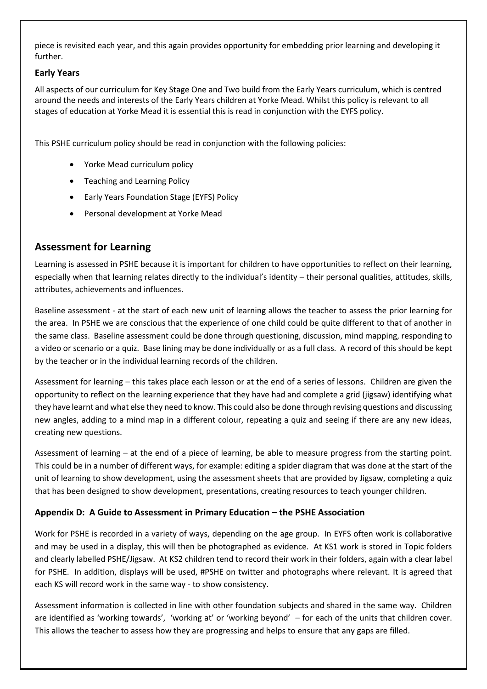piece is revisited each year, and this again provides opportunity for embedding prior learning and developing it further.

#### **Early Years**

All aspects of our curriculum for Key Stage One and Two build from the Early Years curriculum, which is centred around the needs and interests of the Early Years children at Yorke Mead. Whilst this policy is relevant to all stages of education at Yorke Mead it is essential this is read in conjunction with the EYFS policy.

This PSHE curriculum policy should be read in conjunction with the following policies:

- Yorke Mead curriculum policy
- Teaching and Learning Policy
- Early Years Foundation Stage (EYFS) Policy
- Personal development at Yorke Mead

## **Assessment for Learning**

Learning is assessed in PSHE because it is important for children to have opportunities to reflect on their learning, especially when that learning relates directly to the individual's identity – their personal qualities, attitudes, skills, attributes, achievements and influences.

Baseline assessment - at the start of each new unit of learning allows the teacher to assess the prior learning for the area. In PSHE we are conscious that the experience of one child could be quite different to that of another in the same class. Baseline assessment could be done through questioning, discussion, mind mapping, responding to a video or scenario or a quiz. Base lining may be done individually or as a full class. A record of this should be kept by the teacher or in the individual learning records of the children.

Assessment for learning – this takes place each lesson or at the end of a series of lessons. Children are given the opportunity to reflect on the learning experience that they have had and complete a grid (jigsaw) identifying what they have learnt and what else they need to know. This could also be done through revising questions and discussing new angles, adding to a mind map in a different colour, repeating a quiz and seeing if there are any new ideas, creating new questions.

Assessment of learning – at the end of a piece of learning, be able to measure progress from the starting point. This could be in a number of different ways, for example: editing a spider diagram that was done at the start of the unit of learning to show development, using the assessment sheets that are provided by Jigsaw, completing a quiz that has been designed to show development, presentations, creating resources to teach younger children.

#### **Appendix D: A Guide to Assessment in Primary Education – the PSHE Association**

Work for PSHE is recorded in a variety of ways, depending on the age group. In EYFS often work is collaborative and may be used in a display, this will then be photographed as evidence. At KS1 work is stored in Topic folders and clearly labelled PSHE/Jigsaw. At KS2 children tend to record their work in their folders, again with a clear label for PSHE. In addition, displays will be used, #PSHE on twitter and photographs where relevant. It is agreed that each KS will record work in the same way - to show consistency.

Assessment information is collected in line with other foundation subjects and shared in the same way. Children are identified as 'working towards', 'working at' or 'working beyond' – for each of the units that children cover. This allows the teacher to assess how they are progressing and helps to ensure that any gaps are filled.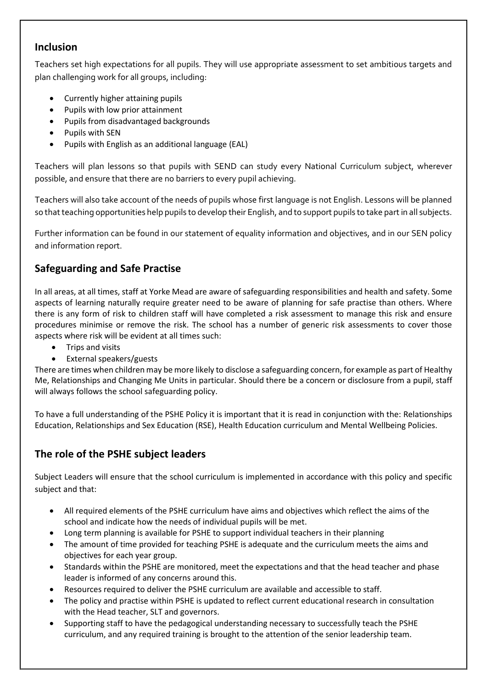## **Inclusion**

Teachers set high expectations for all pupils. They will use appropriate assessment to set ambitious targets and plan challenging work for all groups, including:

- Currently higher attaining pupils
- Pupils with low prior attainment
- Pupils from disadvantaged backgrounds
- Pupils with SEN
- Pupils with English as an additional language (EAL)

Teachers will plan lessons so that pupils with SEND can study every National Curriculum subject, wherever possible, and ensure that there are no barriers to every pupil achieving.

Teachers will also take account of the needs of pupils whose first language is not English. Lessons will be planned so that teaching opportunities help pupils to develop their English, and to support pupils to take part in all subjects.

Further information can be found in our statement of equality information and objectives, and in our SEN policy and information report.

## **Safeguarding and Safe Practise**

In all areas, at all times, staff at Yorke Mead are aware of safeguarding responsibilities and health and safety. Some aspects of learning naturally require greater need to be aware of planning for safe practise than others. Where there is any form of risk to children staff will have completed a risk assessment to manage this risk and ensure procedures minimise or remove the risk. The school has a number of generic risk assessments to cover those aspects where risk will be evident at all times such:

- Trips and visits
- External speakers/guests

There are times when children may be more likely to disclose a safeguarding concern, for example as part of Healthy Me, Relationships and Changing Me Units in particular. Should there be a concern or disclosure from a pupil, staff will always follows the school safeguarding policy.

To have a full understanding of the PSHE Policy it is important that it is read in conjunction with the: Relationships Education, Relationships and Sex Education (RSE), Health Education curriculum and Mental Wellbeing Policies.

## **The role of the PSHE subject leaders**

Subject Leaders will ensure that the school curriculum is implemented in accordance with this policy and specific subject and that:

- All required elements of the PSHE curriculum have aims and objectives which reflect the aims of the school and indicate how the needs of individual pupils will be met.
- Long term planning is available for PSHE to support individual teachers in their planning
- The amount of time provided for teaching PSHE is adequate and the curriculum meets the aims and objectives for each year group.
- Standards within the PSHE are monitored, meet the expectations and that the head teacher and phase leader is informed of any concerns around this.
- Resources required to deliver the PSHE curriculum are available and accessible to staff.
- The policy and practise within PSHE is updated to reflect current educational research in consultation with the Head teacher, SLT and governors.
- Supporting staff to have the pedagogical understanding necessary to successfully teach the PSHE curriculum, and any required training is brought to the attention of the senior leadership team.